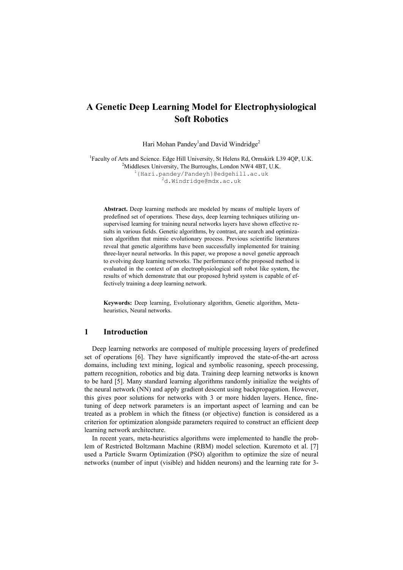# **A Genetic Deep Learning Model for Electrophysiological Soft Robotics**

Hari Mohan Pandey<sup>1</sup> and David Windridge<sup>2</sup>

<sup>1</sup>Faculty of Arts and Science. Edge Hill University, St Helens Rd, Ormskirk L39 4QP, U.K. Middlesex University, The Burroughs, London NW4 4BT, U.K. {Hari.pandey/Pandeyh}@edgehill.ac.uk d.Windridge@mdx.ac.uk

**Abstract.** Deep learning methods are modeled by means of multiple layers of predefined set of operations. These days, deep learning techniques utilizing unsupervised learning for training neural networks layers have shown effective results in various fields. Genetic algorithms, by contrast, are search and optimization algorithm that mimic evolutionary process. Previous scientific literatures reveal that genetic algorithms have been successfully implemented for training three-layer neural networks. In this paper, we propose a novel genetic approach to evolving deep learning networks. The performance of the proposed method is evaluated in the context of an electrophysiological soft robot like system, the results of which demonstrate that our proposed hybrid system is capable of effectively training a deep learning network.

**Keywords:** Deep learning, Evolutionary algorithm, Genetic algorithm, Metaheuristics, Neural networks.

## **1 Introduction**

Deep learning networks are composed of multiple processing layers of predefined set of operations [6]. They have significantly improved the state-of-the-art across domains, including text mining, logical and symbolic reasoning, speech processing, pattern recognition, robotics and big data. Training deep learning networks is known to be hard [5]. Many standard learning algorithms randomly initialize the weights of the neural network (NN) and apply gradient descent using backpropagation. However, this gives poor solutions for networks with 3 or more hidden layers. Hence, finetuning of deep network parameters is an important aspect of learning and can be treated as a problem in which the fitness (or objective) function is considered as a criterion for optimization alongside parameters required to construct an efficient deep learning network architecture.

In recent years, meta-heuristics algorithms were implemented to handle the problem of Restricted Boltzmann Machine (RBM) model selection. Kuremoto et al. [7] used a Particle Swarm Optimization (PSO) algorithm to optimize the size of neural networks (number of input (visible) and hidden neurons) and the learning rate for 3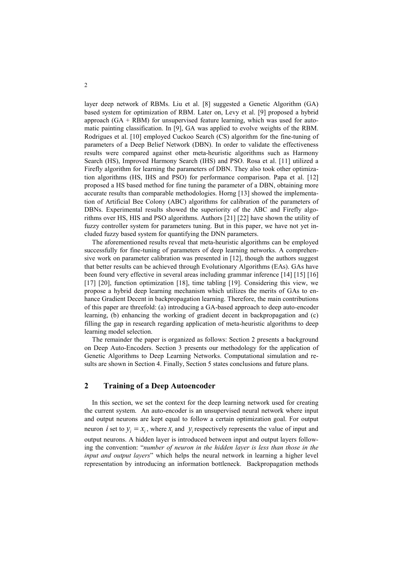layer deep network of RBMs. Liu et al. [8] suggested a Genetic Algorithm (GA) based system for optimization of RBM. Later on, Levy et al. [9] proposed a hybrid approach  $(GA + RBM)$  for unsupervised feature learning, which was used for automatic painting classification. In [9], GA was applied to evolve weights of the RBM. Rodrigues et al. [10] employed Cuckoo Search (CS) algorithm for the fine-tuning of parameters of a Deep Belief Network (DBN). In order to validate the effectiveness results were compared against other meta-heuristic algorithms such as Harmony Search (HS), Improved Harmony Search (IHS) and PSO. Rosa et al. [11] utilized a Firefly algorithm for learning the parameters of DBN. They also took other optimization algorithms (HS, IHS and PSO) for performance comparison. Papa et al. [12] proposed a HS based method for fine tuning the parameter of a DBN, obtaining more accurate results than comparable methodologies. Horng [13] showed the implementation of Artificial Bee Colony (ABC) algorithms for calibration of the parameters of DBNs. Experimental results showed the superiority of the ABC and Firefly algorithms over HS, HIS and PSO algorithms. Authors [21] [22] have shown the utility of fuzzy controller system for parameters tuning. But in this paper, we have not yet included fuzzy based system for quantifying the DNN parameters.

The aforementioned results reveal that meta-heuristic algorithms can be employed successfully for fine-tuning of parameters of deep learning networks. A comprehensive work on parameter calibration was presented in [12], though the authors suggest that better results can be achieved through Evolutionary Algorithms (EAs). GAs have been found very effective in several areas including grammar inference [14] [15] [16] [17] [20], function optimization [18], time tabling [19]. Considering this view, we propose a hybrid deep learning mechanism which utilizes the merits of GAs to enhance Gradient Decent in backpropagation learning. Therefore, the main contributions of this paper are threefold: (a) introducing a GA-based approach to deep auto-encoder learning, (b) enhancing the working of gradient decent in backpropagation and (c) filling the gap in research regarding application of meta-heuristic algorithms to deep learning model selection.

The remainder the paper is organized as follows: Section 2 presents a background on Deep Auto-Encoders. Section 3 presents our methodology for the application of Genetic Algorithms to Deep Learning Networks. Computational simulation and results are shown in Section 4. Finally, Section 5 states conclusions and future plans.

#### **2 Training of a Deep Autoencoder**

In this section, we set the context for the deep learning network used for creating the current system. An auto-encoder is an unsupervised neural network where input and output neurons are kept equal to follow a certain optimization goal. For output neuron *i* set to  $y_i = x_i$ , where  $x_i$  and  $y_i$  respectively represents the value of input and output neurons. A hidden layer is introduced between input and output layers following the convention: "*number of neuron in the hidden layer is less than those in the input and output layers*" which helps the neural network in learning a higher level representation by introducing an information bottleneck. Backpropagation methods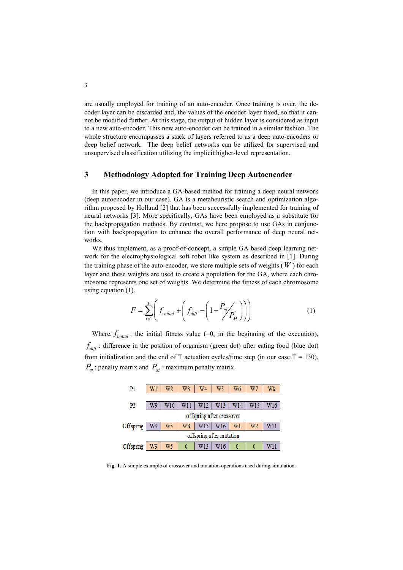are usually employed for training of an auto-encoder. Once training is over, the decoder layer can be discarded and, the values of the encoder layer fixed, so that it cannot be modified further. At this stage, the output of hidden layer is considered as input to a new auto-encoder. This new auto-encoder can be trained in a similar fashion. The whole structure encompasses a stack of layers referred to as a deep auto-encoders or deep belief network. The deep belief networks can be utilized for supervised and unsupervised classification utilizing the implicit higher-level representation.

# **3 Methodology Adapted for Training Deep Autoencoder**

In this paper, we introduce a GA-based method for training a deep neural network (deep autoencoder in our case). GA is a metaheuristic search and optimization algorithm proposed by Holland [2] that has been successfully implemented for training of neural networks [3]. More specifically, GAs have been employed as a substitute for the backpropagation methods. By contrast, we here propose to use GAs in conjunction with backpropagation to enhance the overall performance of deep neural networks.

We thus implement, as a proof-of-concept, a simple GA based deep learning network for the electrophysiological soft robot like system as described in [1]. During the training phase of the auto-encoder, we store multiple sets of weights  $(W)$  for each layer and these weights are used to create a population for the GA, where each chromosome represents one set of weights. We determine the fitness of each chromosome using equation (1).

$$
F = \sum_{t=1}^{T} \left( f_{initial} + \left( f_{diff} - \left( 1 - \frac{P_m}{P_M} \right) \right) \right) \tag{1}
$$

Where,  $f_{initial}$ : the initial fitness value (=0, in the beginning of the execution),  $f_{\text{diff}}$ : difference in the position of organism (green dot) after eating food (blue dot) from initialization and the end of T actuation cycles/time step (in our case  $T = 130$ ),  $P_m$ : penalty matrix and  $P_M$ : maximum penalty matrix.



**Fig. 1.** A simple example of crossover and mutation operations used during simulation.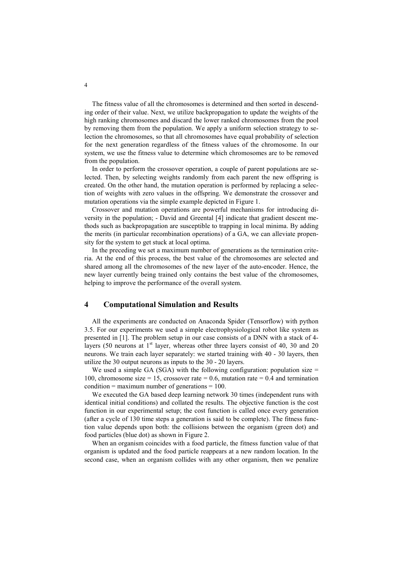The fitness value of all the chromosomes is determined and then sorted in descending order of their value. Next, we utilize backpropagation to update the weights of the high ranking chromosomes and discard the lower ranked chromosomes from the pool by removing them from the population. We apply a uniform selection strategy to selection the chromosomes, so that all chromosomes have equal probability of selection for the next generation regardless of the fitness values of the chromosome. In our system, we use the fitness value to determine which chromosomes are to be removed from the population.

In order to perform the crossover operation, a couple of parent populations are selected. Then, by selecting weights randomly from each parent the new offspring is created. On the other hand, the mutation operation is performed by replacing a selection of weights with zero values in the offspring. We demonstrate the crossover and mutation operations via the simple example depicted in Figure 1.

Crossover and mutation operations are powerful mechanisms for introducing diversity in the population; - David and Greental [4] indicate that gradient descent methods such as backpropagation are susceptible to trapping in local minima. By adding the merits (in particular recombination operations) of a GA, we can alleviate propensity for the system to get stuck at local optima.

In the preceding we set a maximum number of generations as the termination criteria. At the end of this process, the best value of the chromosomes are selected and shared among all the chromosomes of the new layer of the auto-encoder. Hence, the new layer currently being trained only contains the best value of the chromosomes, helping to improve the performance of the overall system.

### **4 Computational Simulation and Results**

All the experiments are conducted on Anaconda Spider (Tensorflow) with python 3.5. For our experiments we used a simple electrophysiological robot like system as presented in [1]. The problem setup in our case consists of a DNN with a stack of 4 layers (50 neurons at  $1<sup>st</sup>$  layer, whereas other three layers consist of 40, 30 and 20 neurons. We train each layer separately: we started training with 40 - 30 layers, then utilize the 30 output neurons as inputs to the 30 - 20 layers.

We used a simple GA (SGA) with the following configuration: population size  $=$ 100, chromosome size = 15, crossover rate = 0.6, mutation rate = 0.4 and termination condition = maximum number of generations =  $100$ .

We executed the GA based deep learning network 30 times (independent runs with identical initial conditions) and collated the results. The objective function is the cost function in our experimental setup; the cost function is called once every generation (after a cycle of 130 time steps a generation is said to be complete). The fitness function value depends upon both: the collisions between the organism (green dot) and food particles (blue dot) as shown in Figure 2.

When an organism coincides with a food particle, the fitness function value of that organism is updated and the food particle reappears at a new random location. In the second case, when an organism collides with any other organism, then we penalize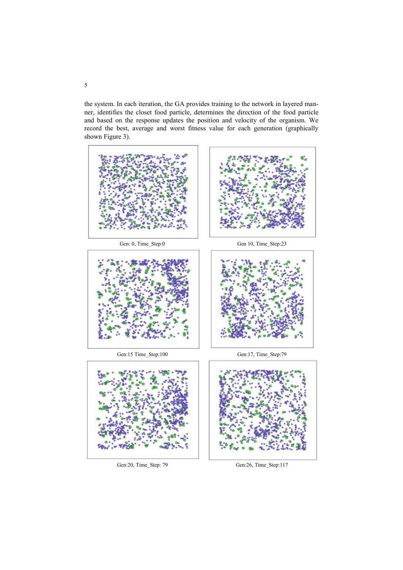the system. In each iteration, the GA provides training to the network in layered manner, identifies the closet food particle, determines the direction of the food particle and based on the response updates the position and velocity of the organism. We record the best, average and worst fitness value for each generation (graphically shown Figure 3).





Gen:20, Time\_Step: 79 Gen:26, Time\_Step:117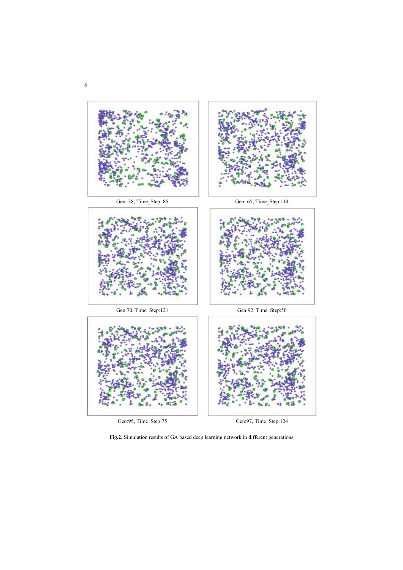

Gen:95, Time\_Step:75 Gen:97, Time\_Step:124

**Fig.2.** Simulation results of GA based deep learning network in different generations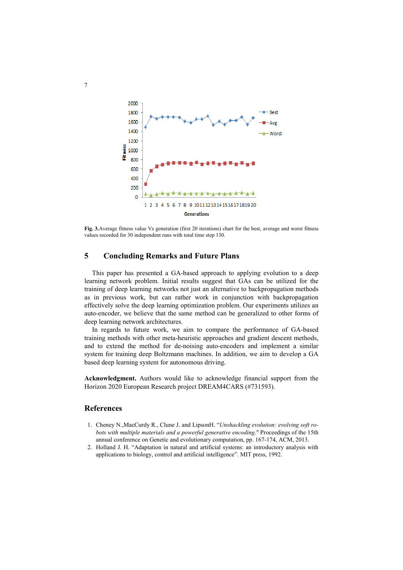

**Fig. 3.**Average fitness value Vs generation (first 20 iterations) chart for the best, average and worst fitness values recorded for 30 independent runs with total time step 130.

# **5 Concluding Remarks and Future Plans**

This paper has presented a GA-based approach to applying evolution to a deep learning network problem. Initial results suggest that GAs can be utilized for the training of deep learning networks not just an alternative to backpropagation methods as in previous work, but can rather work in conjunction with backpropagation effectively solve the deep learning optimization problem. Our experiments utilizes an auto-encoder, we believe that the same method can be generalized to other forms of deep learning network architectures.

In regards to future work, we aim to compare the performance of GA-based training methods with other meta-heuristic approaches and gradient descent methods, and to extend the method for de-noising auto-encoders and implement a similar system for training deep Boltzmann machines. In addition, we aim to develop a GA based deep learning system for autonomous driving.

**Acknowledgment.** Authors would like to acknowledge financial support from the Horizon 2020 European Research project DREAM4CARS (#731593).

#### **References**

- 1. Cheney N.,MacCurdy R., Clune J. and LipsonH. "*Unshackling evolution: evolving soft robots with multiple materials and a powerful generative encoding*." Proceedings of the 15th annual conference on Genetic and evolutionary computation, pp. 167-174, ACM, 2013.
- 2. Holland J. H. "Adaptation in natural and artificial systems: an introductory analysis with applications to biology, control and artificial intelligence". MIT press, 1992.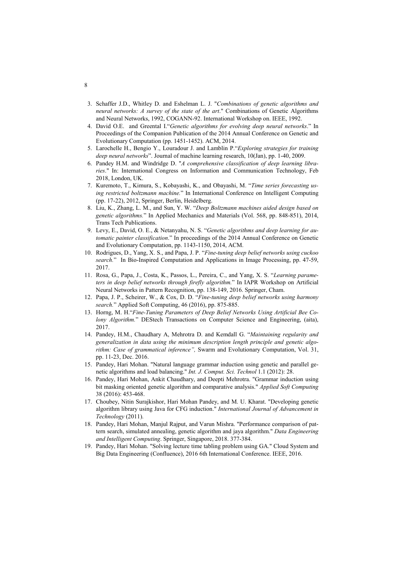- 3. Schaffer J.D., Whitley D. and Eshelman L. J. "*Combinations of genetic algorithms and neural networks: A survey of the state of the art*." Combinations of Genetic Algorithms and Neural Networks, 1992, COGANN-92. International Workshop on. IEEE, 1992.
- 4. David O.E. and Greental I."*Genetic algorithms for evolving deep neural networks*." In Proceedings of the Companion Publication of the 2014 Annual Conference on Genetic and Evolutionary Computation (pp. 1451-1452). ACM, 2014.
- 5. Larochelle H., Bengio Y., Louradour J. and Lamblin P."*Exploring strategies for training deep neural networks*". Journal of machine learning research, 10(Jan), pp. 1-40, 2009.
- 6. Pandey H.M. and Windridge D. "*A comprehensive classification of deep learning libraries*." In: International Congress on Information and Communication Technology, Feb 2018, London, UK.
- 7. Kuremoto, T., Kimura, S., Kobayashi, K., and Obayashi, M. "*Time series forecasting using restricted boltzmann machine.*" In International Conference on Intelligent Computing (pp. 17-22), 2012, Springer, Berlin, Heidelberg.
- 8. Liu, K., Zhang, L. M., and Sun, Y. W. "*Deep Boltzmann machines aided design based on genetic algorithms.*" In Applied Mechanics and Materials (Vol. 568, pp. 848-851), 2014, Trans Tech Publications.
- 9. Levy, E., David, O. E., & Netanyahu, N. S. "*Genetic algorithms and deep learning for automatic painter classification*." In proceedings of the 2014 Annual Conference on Genetic and Evolutionary Computation, pp. 1143-1150, 2014, ACM.
- 10. Rodrigues, D., Yang, X. S., and Papa, J. P. "*Fine-tuning deep belief networks using cuckoo search.*" In Bio-Inspired Computation and Applications in Image Processing, pp. 47-59, 2017.
- 11. Rosa, G., Papa, J., Costa, K., Passos, L., Pereira, C., and Yang, X. S. "*Learning parameters in deep belief networks through firefly algorithm.*" In IAPR Workshop on Artificial Neural Networks in Pattern Recognition, pp. 138-149, 2016. Springer, Cham.
- 12. Papa, J. P., Scheirer, W., & Cox, D. D. "*Fine-tuning deep belief networks using harmony search.*" Applied Soft Computing, 46 (2016), pp. 875-885.
- 13. Horng, M. H."*Fine-Tuning Parameters of Deep Belief Networks Using Artificial Bee Colony Algorithm.*" DEStech Transactions on Computer Science and Engineering, (aita), 2017.
- 14. Pandey, H.M., Chaudhary A, Mehrotra D. and Kemdall G. "*Maintaining regularity and generalization in data using the minimum description length principle and genetic algorithm: Case of grammatical inference",* Swarm and Evolutionary Computation, Vol. 31, pp. 11-23, Dec. 2016.
- 15. Pandey, Hari Mohan. "Natural language grammar induction using genetic and parallel genetic algorithms and load balancing." *Int. J. Comput. Sci. Technol* 1.1 (2012): 28.
- 16. Pandey, Hari Mohan, Ankit Chaudhary, and Deepti Mehrotra. "Grammar induction using bit masking oriented genetic algorithm and comparative analysis." *Applied Soft Computing* 38 (2016): 453-468.
- 17. Choubey, Nitin Surajkishor, Hari Mohan Pandey, and M. U. Kharat. "Developing genetic algorithm library using Java for CFG induction." *International Journal of Advancement in Technology* (2011).
- 18. Pandey, Hari Mohan, Manjul Rajput, and Varun Mishra. "Performance comparison of pattern search, simulated annealing, genetic algorithm and jaya algorithm." *Data Engineering and Intelligent Computing*. Springer, Singapore, 2018. 377-384.
- 19. Pandey, Hari Mohan. "Solving lecture time tabling problem using GA." Cloud System and Big Data Engineering (Confluence), 2016 6th International Conference. IEEE, 2016.

8